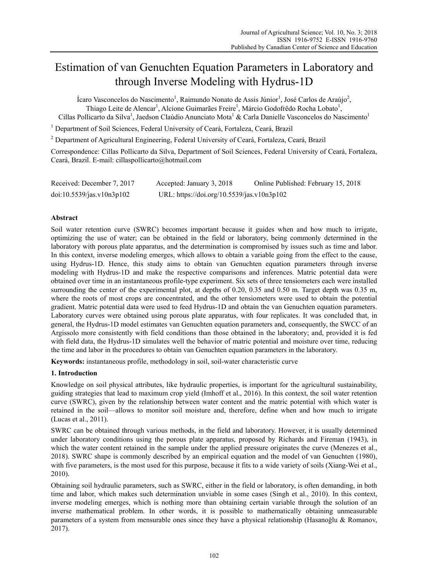# Estimation of van Genuchten Equation Parameters in Laboratory and through Inverse Modeling with Hydrus-1D

Ícaro Vasconcelos do Nascimento<sup>1</sup>, Raimundo Nonato de Assis Júnior<sup>1</sup>, José Carlos de Araújo<sup>2</sup>, Thiago Leite de Alencar<sup>1</sup>, Alcione Guimarães Freire<sup>1</sup>, Márcio Godofrêdo Rocha Lobato<sup>1</sup>,

Cillas Pollicarto da Silva<sup>1</sup>, Jaedson Claúdio Anunciato Mota<sup>1</sup> & Carla Danielle Vasconcelos do Nascimento<sup>1</sup>

<sup>1</sup> Department of Soil Sciences, Federal University of Ceará, Fortaleza, Ceará, Brazil

<sup>2</sup> Department of Agricultural Engineering, Federal University of Ceará, Fortaleza, Ceará, Brazil

Correspondence: Cillas Pollicarto da Silva, Department of Soil Sciences, Federal University of Ceará, Fortaleza, Ceará, Brazil. E-mail: cillaspollicarto@hotmail.com

| Received: December 7, 2017 | Accepted: January 3, 2018                  | Online Published: February 15, 2018 |
|----------------------------|--------------------------------------------|-------------------------------------|
| doi:10.5539/jas.v10n3p102  | URL: https://doi.org/10.5539/jas.v10n3p102 |                                     |

# **Abstract**

Soil water retention curve (SWRC) becomes important because it guides when and how much to irrigate, optimizing the use of water; can be obtained in the field or laboratory, being commonly determined in the laboratory with porous plate apparatus, and the determination is compromised by issues such as time and labor. In this context, inverse modeling emerges, which allows to obtain a variable going from the effect to the cause, using Hydrus-1D. Hence, this study aims to obtain van Genuchten equation parameters through inverse modeling with Hydrus-1D and make the respective comparisons and inferences. Matric potential data were obtained over time in an instantaneous profile-type experiment. Six sets of three tensiometers each were installed surrounding the center of the experimental plot, at depths of 0.20, 0.35 and 0.50 m. Target depth was 0.35 m, where the roots of most crops are concentrated, and the other tensiometers were used to obtain the potential gradient. Matric potential data were used to feed Hydrus-1D and obtain the van Genuchten equation parameters. Laboratory curves were obtained using porous plate apparatus, with four replicates. It was concluded that, in general, the Hydrus-1D model estimates van Genuchten equation parameters and, consequently, the SWCC of an Argissolo more consistently with field conditions than those obtained in the laboratory; and, provided it is fed with field data, the Hydrus-1D simulates well the behavior of matric potential and moisture over time, reducing the time and labor in the procedures to obtain van Genuchten equation parameters in the laboratory.

**Keywords:** instantaneous profile, methodology in soil, soil-water characteristic curve

# **1. Introduction**

Knowledge on soil physical attributes, like hydraulic properties, is important for the agricultural sustainability, guiding strategies that lead to maximum crop yield (Imhoff et al., 2016). In this context, the soil water retention curve (SWRC), given by the relationship between water content and the matric potential with which water is retained in the soil—allows to monitor soil moisture and, therefore, define when and how much to irrigate (Lucas et al., 2011).

SWRC can be obtained through various methods, in the field and laboratory. However, it is usually determined under laboratory conditions using the porous plate apparatus, proposed by Richards and Fireman (1943), in which the water content retained in the sample under the applied pressure originates the curve (Menezes et al., 2018). SWRC shape is commonly described by an empirical equation and the model of van Genuchten (1980), with five parameters, is the most used for this purpose, because it fits to a wide variety of soils (Xiang-Wei et al., 2010).

Obtaining soil hydraulic parameters, such as SWRC, either in the field or laboratory, is often demanding, in both time and labor, which makes such determination unviable in some cases (Singh et al., 2010). In this context, inverse modeling emerges, which is nothing more than obtaining certain variable through the solution of an inverse mathematical problem. In other words, it is possible to mathematically obtaining unmeasurable parameters of a system from mensurable ones since they have a physical relationship (Hasanoğlu & Romanov, 2017).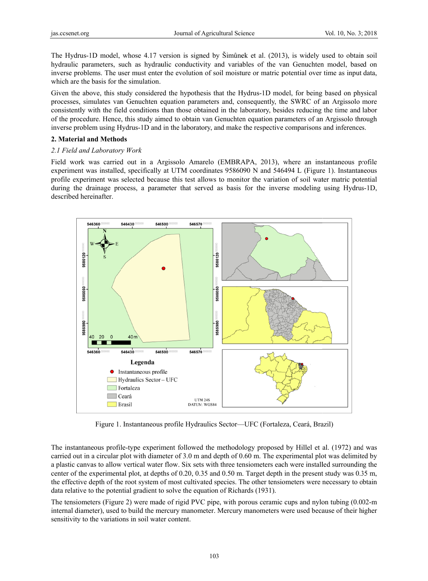The Hydrus-1D model, whose 4.17 version is signed by Simunek et al. (2013), is widely used to obtain soil hydraulic parameters, such as hydraulic conductivity and variables of the van Genuchten model, based on inverse problems. The user must enter the evolution of soil moisture or matric potential over time as input data, which are the basis for the simulation.

Given the above, this study considered the hypothesis that the Hydrus-1D model, for being based on physical processes, simulates van Genuchten equation parameters and, consequently, the SWRC of an Argissolo more consistently with the field conditions than those obtained in the laboratory, besides reducing the time and labor of the procedure. Hence, this study aimed to obtain van Genuchten equation parameters of an Argissolo through inverse problem using Hydrus-1D and in the laboratory, and make the respective comparisons and inferences.

## 2. Material and Methods

## 2.1 Field and Laboratory Work

Field work was carried out in a Argissolo Amarelo (EMBRAPA, 2013), where an instantaneous profile experiment was installed, specifically at UTM coordinates 9586090 N and 546494 L (Figure 1). Instantaneous profile experiment was selected because this test allows to monitor the variation of soil water matric potential during the drainage process, a parameter that served as basis for the inverse modeling using Hydrus-1D, described hereinafter.



Figure 1. Instantaneous profile Hydraulics Sector—UFC (Fortaleza, Ceará, Brazil)

The instantaneous profile-type experiment followed the methodology proposed by Hillel et al. (1972) and was carried out in a circular plot with diameter of 3.0 m and depth of 0.60 m. The experimental plot was delimited by a plastic canvas to allow vertical water flow. Six sets with three tensiometers each were installed surrounding the center of the experimental plot, at depths of 0.20, 0.35 and 0.50 m. Target depth in the present study was 0.35 m, the effective depth of the root system of most cultivated species. The other tensiometers were necessary to obtain data relative to the potential gradient to solve the equation of Richards (1931).

The tensiometers (Figure 2) were made of rigid PVC pipe, with porous ceramic cups and nylon tubing (0.002-m internal diameter), used to build the mercury manometer. Mercury manometers were used because of their higher sensitivity to the variations in soil water content.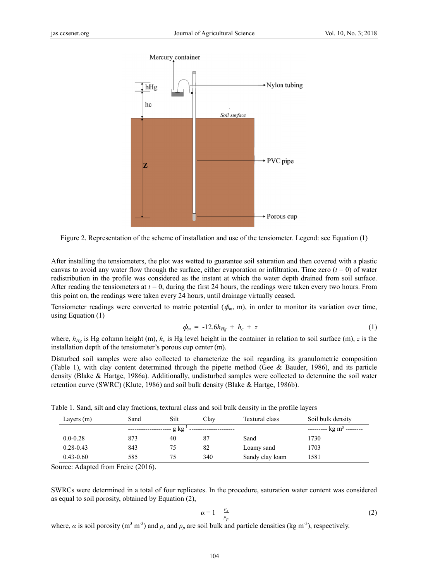

Figure 2. Representation of the scheme of installation and use of the tensiometer. Legend: see Equation (1)

After installing the tensiometers, the plot was wetted to guarantee soil saturation and then covered with a plastic canvas to avoid any water flow through the surface, either evaporation or infiltration. Time zero  $(t = 0)$  of water redistribution in the profile was considered as the instant at which the water depth drained from soil surface. After reading the tensiometers at  $t = 0$ , during the first 24 hours, the readings were taken every two hours. From this point on, the readings were taken every 24 hours, until drainage virtually ceased.

Tensiometer readings were converted to matric potential  $(\phi_m, m)$ , in order to monitor its variation over time, using Equation (1)

$$
\phi_m = -12.6h_{Hg} + h_c + z \tag{1}
$$

where,  $h_{Hg}$  is Hg column height (m),  $h_c$  is Hg level height in the container in relation to soil surface (m), *z* is the installation depth of the tensiometer's porous cup center (m).

Disturbed soil samples were also collected to characterize the soil regarding its granulometric composition (Table 1), with clay content determined through the pipette method (Gee & Bauder, 1986), and its particle density (Blake & Hartge, 1986a). Additionally, undisturbed samples were collected to determine the soil water retention curve (SWRC) (Klute, 1986) and soil bulk density (Blake & Hartge, 1986b).

| Layers $(m)$  | Sand | Silt | Clay | Textural class  | Soil bulk density                    |
|---------------|------|------|------|-----------------|--------------------------------------|
| $g kg-1$      |      |      |      |                 | --------- kg m <sup>3</sup> -------- |
| $0.0 - 0.28$  | 873  | 40   | 87   | Sand            | 1730                                 |
| $0.28 - 0.43$ | 843  | 75   | 82   | Loamy sand      | 1703                                 |
| $0.43 - 0.60$ | 585  | 75   | 340  | Sandy clay loam | 1581                                 |

Table 1. Sand, silt and clay fractions, textural class and soil bulk density in the profile layers

Source: Adapted from Freire (2016).

SWRCs were determined in a total of four replicates. In the procedure, saturation water content was considered as equal to soil porosity, obtained by Equation (2),

$$
\alpha = 1 - \frac{\rho_s}{\rho_p} \tag{2}
$$

where,  $\alpha$  is soil porosity (m<sup>3</sup> m<sup>-3</sup>) and  $\rho_s$  and  $\rho_p$  are soil bulk and particle densities (kg m<sup>-3</sup>), respectively.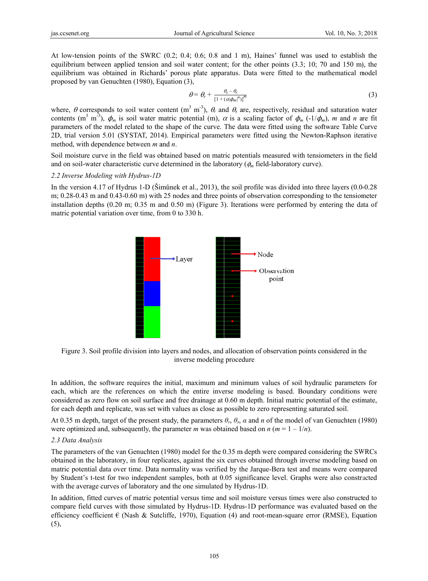At low-tension points of the SWRC (0.2; 0.4; 0.6; 0.8 and 1 m), Haines' funnel was used to establish the equilibrium between applied tension and soil water content; for the other points (3.3; 10; 70 and 150 m), the equilibrium was obtained in Richards' porous plate apparatus. Data were fitted to the mathematical model proposed by van Genuchten (1980), Equation (3),

$$
\theta = \theta_r + \frac{\theta_s - \theta_r}{\left[1 + (\alpha_l \phi_m)^n\right]^m} \tag{3}
$$

where,  $\theta$  corresponds to soil water content (m<sup>3</sup> m<sup>-3</sup>),  $\theta_r$  and  $\theta_s$  are, respectively, residual and saturation water contents (m<sup>3</sup> m<sup>-3</sup>),  $\phi_m$  is soil water matric potential (m),  $\alpha$  is a scaling factor of  $\phi_m$  (-1/ $\phi_m$ ), m and n are fit parameters of the model related to the shape of the curve. The data were fitted using the software Table Curve 2D, trial version 5.01 (SYSTAT, 2014). Empirical parameters were fitted using the Newton-Raphson iterative method, with dependence between  $m$  and  $n$ .

Soil moisture curve in the field was obtained based on matric potentials measured with tensiometers in the field and on soil-water characteristic curve determined in the laboratory ( $\phi_m$  field-laboratory curve).

#### 2.2 Inverse Modeling with Hydrus-1D

In the version 4.17 of Hydrus 1-D (Simunnek et al., 2013), the soil profile was divided into three layers  $(0.0-0.28)$ m;  $0.28-0.43$  m and  $0.43-0.60$  m) with 25 nodes and three points of observation corresponding to the tensiometer installation depths  $(0.20 \text{ m})$ ;  $0.35 \text{ m}$  and  $0.50 \text{ m}$ ) (Figure 3). Iterations were performed by entering the data of matric potential variation over time, from 0 to 330 h.



Figure 3. Soil profile division into layers and nodes, and allocation of observation points considered in the inverse modeling procedure

In addition, the software requires the initial, maximum and minimum values of soil hydraulic parameters for each, which are the references on which the entire inverse modeling is based. Boundary conditions were considered as zero flow on soil surface and free drainage at 0.60 m depth. Initial matric potential of the estimate, for each depth and replicate, was set with values as close as possible to zero representing saturated soil.

At 0.35 m depth, target of the present study, the parameters  $\theta_r$ ,  $\theta_s$ ,  $\alpha$  and n of the model of van Genuchten (1980) were optimized and, subsequently, the parameter m was obtained based on  $n (m = 1 - 1/n)$ .

## 2.3 Data Analysis

The parameters of the van Genuchten (1980) model for the 0.35 m depth were compared considering the SWRCs obtained in the laboratory, in four replicates, against the six curves obtained through inverse modeling based on matric potential data over time. Data normality was verified by the Jarque-Bera test and means were compared by Student's t-test for two independent samples, both at 0.05 significance level. Graphs were also constructed with the average curves of laboratory and the one simulated by Hydrus-1D.

In addition, fitted curves of matric potential versus time and soil moisture versus times were also constructed to compare field curves with those simulated by Hydrus-1D. Hydrus-1D performance was evaluated based on the efficiency coefficient  $\epsilon$  (Nash & Sutcliffe, 1970), Equation (4) and root-mean-square error (RMSE), Equation  $(5),$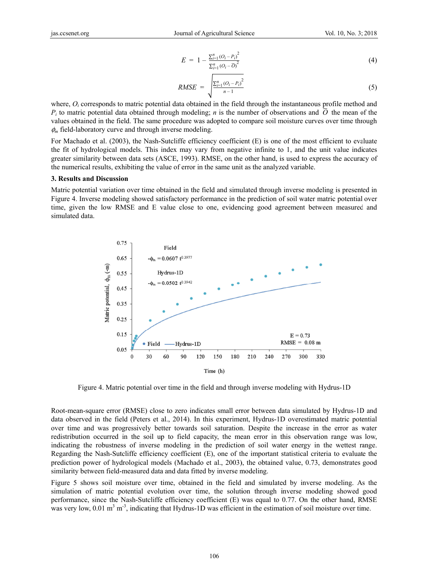$$
E = 1 - \frac{\sum_{i=1}^{n} (O_i - P_i)^2}{\sum_{i=1}^{n} (O_i - \overline{O})^2}
$$
 (4)

$$
RMSE = \sqrt{\frac{\sum_{i=1}^{n} (O_i - P_i)^2}{n-1}}
$$
 (5)

where,  $O_i$  corresponds to matric potential data obtained in the field through the instantaneous profile method and  $P_i$  to matric potential data obtained through modeling; *n* is the number of observations and  $\overline{O}$  the mean of the values obtained in the field. The same procedure was adopted to compare soil moisture curves over time through  $\phi_m$  field-laboratory curve and through inverse modeling.

For Machado et al. (2003), the Nash-Sutcliffe efficiency coefficient (E) is one of the most efficient to evaluate the fit of hydrological models. This index may vary from negative infinite to 1, and the unit value indicates greater similarity between data sets (ASCE, 1993). RMSE, on the other hand, is used to express the accuracy of the numerical results, exhibiting the value of error in the same unit as the analyzed variable.

#### 3. Results and Discussion

Matric potential variation over time obtained in the field and simulated through inverse modeling is presented in Figure 4. Inverse modeling showed satisfactory performance in the prediction of soil water matric potential over time, given the low RMSE and E value close to one, evidencing good agreement between measured and simulated data.



Figure 4. Matric potential over time in the field and through inverse modeling with Hydrus-1D

Root-mean-square error (RMSE) close to zero indicates small error between data simulated by Hydrus-1D and data observed in the field (Peters et al., 2014). In this experiment, Hydrus-1D overestimated matric potential over time and was progressively better towards soil saturation. Despite the increase in the error as water redistribution occurred in the soil up to field capacity, the mean error in this observation range was low, indicating the robustness of inverse modeling in the prediction of soil water energy in the wettest range. Regarding the Nash-Sutcliffe efficiency coefficient (E), one of the important statistical criteria to evaluate the prediction power of hydrological models (Machado et al., 2003), the obtained value, 0.73, demonstrates good similarity between field-measured data and data fitted by inverse modeling.

Figure 5 shows soil moisture over time, obtained in the field and simulated by inverse modeling. As the simulation of matric potential evolution over time, the solution through inverse modeling showed good performance, since the Nash-Sutcliffe efficiency coefficient (E) was equal to 0.77. On the other hand, RMSE was very low, 0.01  $m^3$   $m^3$ , indicating that Hydrus-1D was efficient in the estimation of soil moisture over time.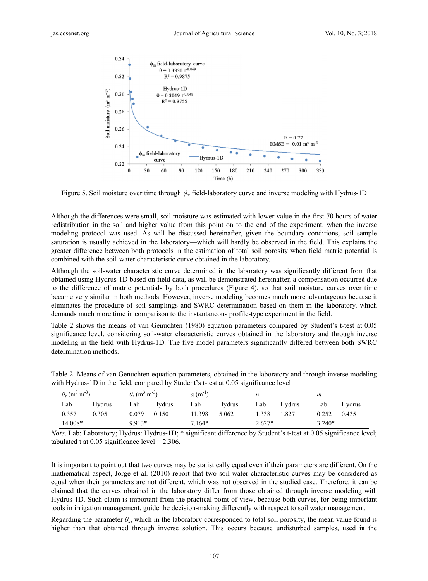

Figure 5. Soil moisture over time through  $\phi_m$  field-laboratory curve and inverse modeling with Hydrus-1D

Although the differences were small, soil moisture was estimated with lower value in the first 70 hours of water redistribution in the soil and higher value from this point on to the end of the experiment, when the inverse modeling protocol was used. As will be discussed hereinafter, given the boundary conditions, soil sample saturation is usually achieved in the laboratory—which will hardly be observed in the field. This explains the greater difference between both protocols in the estimation of total soil porosity when field matric potential is combined with the soil-water characteristic curve obtained in the laboratory.

Although the soil-water characteristic curve determined in the laboratory was significantly different from that obtained using Hydrus-1D based on field data, as will be demonstrated hereinafter, a compensation occurred due to the difference of matric potentials by both procedures (Figure 4), so that soil moisture curves over time became very similar in both methods. However, inverse modeling becomes much more advantageous because it eliminates the procedure of soil samplings and SWRC determination based on them in the laboratory, which demands much more time in comparison to the instantaneous profile-type experiment in the field.

Table 2 shows the means of van Genuchten (1980) equation parameters compared by Student's t-test at 0.05 significance level, considering soil-water characteristic curves obtained in the laboratory and through inverse modeling in the field with Hydrus-1D. The five model parameters significantly differed between both SWRC determination methods.

Table 2. Means of van Genuchten equation parameters, obtained in the laboratory and through inverse modeling with Hydrus-1D in the field, compared by Student's t-test at 0.05 significance level

| $\theta_{\rm s}$ (m <sup>3</sup> m <sup>-3</sup> ) |        |          | $\theta_r$ (m <sup>3</sup> m <sup>-3</sup> ) |          | $\alpha$ (m <sup>-1</sup> ) |          |        |          | m      |  |
|----------------------------------------------------|--------|----------|----------------------------------------------|----------|-----------------------------|----------|--------|----------|--------|--|
| Lab                                                | Hydrus | ∟ab      | Hydrus                                       | Lab      | Hydrus                      | Lab      | Hydrus | Lab      | Hydrus |  |
| 0.357                                              | 0.305  | 0.079    | 0.150                                        | 11.398   | 5.062                       | 1.338    | 1.827  | 0.252    | 0.435  |  |
| 14.008*                                            |        | $9.913*$ |                                              | $7.164*$ |                             | $2.627*$ |        | $3.240*$ |        |  |

*Note.* Lab: Laboratory; Hydrus: Hydrus-1D; \* significant difference by Student's t-test at 0.05 significance level; tabulated t at 0.05 significance level =  $2.306$ .

It is important to point out that two curves may be statistically equal even if their parameters are different. On the mathematical aspect, Jorge et al. (2010) report that two soil-water characteristic curves may be considered as equal when their parameters are not different, which was not observed in the studied case. Therefore, it can be claimed that the curves obtained in the laboratory differ from those obtained through inverse modeling with Hydrus-1D. Such claim is important from the practical point of view, because both curves, for being important tools in irrigation management, guide the decision-making differently with respect to soil water management.

Regarding the parameter  $\theta_s$ , which in the laboratory corresponded to total soil porosity, the mean value found is higher than that obtained through inverse solution. This occurs because undisturbed samples, used in the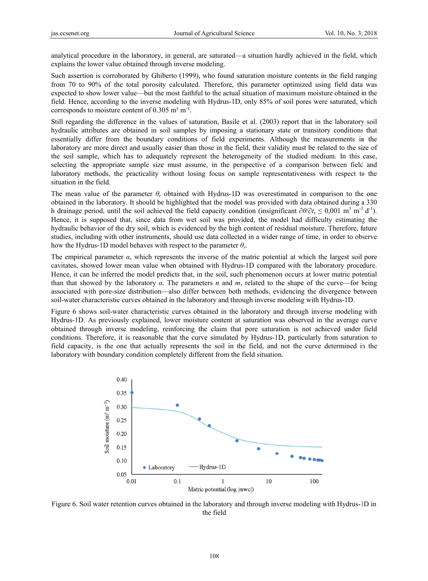analytical procedure in the laboratory, in general, are saturated—a situation hardly achieved in the field, which explains the lower value obtained through inverse modeling.

Such assertion is corroborated by Ghiberto (1999), who found saturation moisture contents in the field ranging from 70 to 90% of the total porosity calculated. Therefore, this parameter optimized using field data was expected to show lower value—but the most faithful to the actual situation of maximum moisture obtained in the field. Hence, according to the inverse modeling with Hydrus-1D, only 85% of soil pores were saturated, which corresponds to moisture content of  $0.305 \text{ m}^3 \text{ m}^3$ .

Still regarding the difference in the values of saturation, Basile et al. (2003) report that in the laboratory soil hydraulic attributes are obtained in soil samples by imposing a stationary state or transitory conditions that essentially differ from the boundary conditions of field experiments. Although the measurements in the laboratory are more direct and usually easier than those in the field, their validity must be related to the size of the soil sample, which has to adequately represent the heterogeneity of the studied medium. In this case, selecting the appropriate sample size must assume, in the perspective of a comparison between field and laboratory methods, the practicality without losing focus on sample representativeness with respect to the situation in the field.

The mean value of the parameter  $\theta_r$  obtained with Hydrus-1D was overestimated in comparison to the one obtained in the laboratory. It should be highlighted that the model was provided with data obtained during a 330 h drainage period, until the soil achieved the field capacity condition (insignificant  $\partial\theta/\partial t$ ,  $\leq 0.001$  m<sup>3</sup> m<sup>-3</sup> d<sup>-1</sup>). Hence, it is supposed that, since data from wet soil was provided, the model had difficulty estimating the hydraulic behavior of the dry soil, which is evidenced by the high content of residual moisture. Therefore, future studies, including with other instruments, should use data collected in a wider range of time, in order to observe how the Hydrus-1D model behaves with respect to the parameter  $\theta_r$ .

The empirical parameter  $\alpha$ , which represents the inverse of the matric potential at which the largest soil pore cavitates, showed lower mean value when obtained with Hydrus-1D compared with the laboratory procedure. Hence, it can be inferred the model predicts that, in the soil, such phenomenon occurs at lower matric potential than that showed by the laboratory  $\alpha$ . The parameters *n* and *m*, related to the shape of the curve—for being associated with pore-size distribution—also differ between both methods, evidencing the divergence between soil-water characteristic curves obtained in the laboratory and through inverse modeling with Hydrus-1D.

Figure 6 shows soil-water characteristic curves obtained in the laboratory and through inverse modeling with Hydrus-1D. As previously explained, lower moisture content at saturation was observed in the average curve obtained through inverse modeling, reinforcing the claim that pore saturation is not achieved under field conditions. Therefore, it is reasonable that the curve simulated by Hydrus-1D, particularly from saturation to field capacity, is the one that actually represents the soil in the field, and not the curve determined in the laboratory with boundary condition completely different from the field situation.



Figure 6. Soil water retention curves obtained in the laboratory and through inverse modeling with Hydrus-1D in the field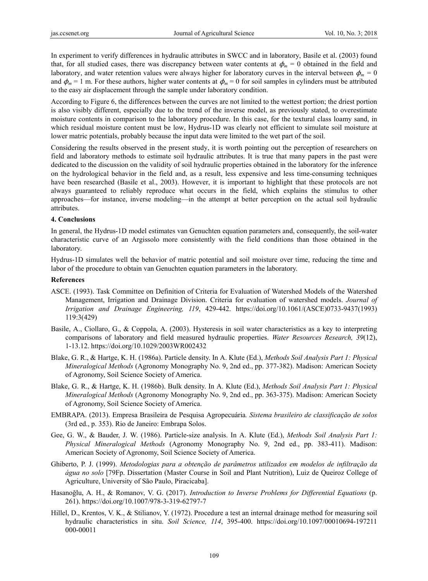In experiment to verify differences in hydraulic attributes in SWCC and in laboratory, Basile et al. (2003) found that, for all studied cases, there was discrepancy between water contents at  $\phi_m = 0$  obtained in the field and laboratory, and water retention values were always higher for laboratory curves in the interval between  $\phi_m = 0$ and  $\phi_m = 1$  m. For these authors, higher water contents at  $\phi_m = 0$  for soil samples in cylinders must be attributed to the easy air displacement through the sample under laboratory condition.

According to Figure 6, the differences between the curves are not limited to the wettest portion; the driest portion is also visibly different, especially due to the trend of the inverse model, as previously stated, to overestimate moisture contents in comparison to the laboratory procedure. In this case, for the textural class loamy sand, in which residual moisture content must be low, Hydrus-1D was clearly not efficient to simulate soil moisture at lower matric potentials, probably because the input data were limited to the wet part of the soil.

Considering the results observed in the present study, it is worth pointing out the perception of researchers on field and laboratory methods to estimate soil hydraulic attributes. It is true that many papers in the past were dedicated to the discussion on the validity of soil hydraulic properties obtained in the laboratory for the inference on the hydrological behavior in the field and, as a result, less expensive and less time-consuming techniques have been researched (Basile et al., 2003). However, it is important to highlight that these protocols are not always guaranteed to reliably reproduce what occurs in the field, which explains the stimulus to other approaches—for instance, inverse modeling—in the attempt at better perception on the actual soil hydraulic attributes.

## **4. Conclusions**

In general, the Hydrus-1D model estimates van Genuchten equation parameters and, consequently, the soil-water characteristic curve of an Argissolo more consistently with the field conditions than those obtained in the laboratory.

Hydrus-1D simulates well the behavior of matric potential and soil moisture over time, reducing the time and labor of the procedure to obtain van Genuchten equation parameters in the laboratory.

## **References**

- ASCE. (1993). Task Committee on Definition of Criteria for Evaluation of Watershed Models of the Watershed Management, Irrigation and Drainage Division. Criteria for evaluation of watershed models. *Journal of Irrigation and Drainage Engineering, 119*, 429-442. https://doi.org/10.1061/(ASCE)0733-9437(1993) 119:3(429)
- Basile, A., Ciollaro, G., & Coppola, A. (2003). Hysteresis in soil water characteristics as a key to interpreting comparisons of laboratory and field measured hydraulic properties. *Water Resources Research, 39*(12), 1-13.12. https://doi.org/10.1029/2003WR002432
- Blake, G. R., & Hartge, K. H. (1986a). Particle density. In A. Klute (Ed.), *Methods Soil Analysis Part 1: Physical Mineralogical Methods* (Agronomy Monography No. 9, 2nd ed., pp. 377-382). Madison: American Society of Agronomy, Soil Science Society of America.
- Blake, G. R., & Hartge, K. H. (1986b). Bulk density. In A. Klute (Ed.), *Methods Soil Analysis Part 1: Physical Mineralogical Methods* (Agronomy Monography No. 9, 2nd ed., pp. 363-375). Madison: American Society of Agronomy, Soil Science Society of America.
- EMBRAPA. (2013). Empresa Brasileira de Pesquisa Agropecuária*. Sistema brasileiro de classificação de solos*  (3rd ed., p. 353). Rio de Janeiro: Embrapa Solos.
- Gee, G. W., & Bauder, J. W. (1986). Particle-size analysis. In A. Klute (Ed.), *Methods Soil Analysis Part 1: Physical Mineralogical Methods* (Agronomy Monography No. 9, 2nd ed., pp. 383-411). Madison: American Society of Agronomy, Soil Science Society of America.
- Ghiberto, P. J. (1999). *Metodologias para a obtenção de parâmetros utilizados em modelos de infiltração da água no solo* [79Fp. Dissertation (Master Course in Soil and Plant Nutrition), Luiz de Queiroz College of Agriculture, University of São Paulo, Piracicaba].
- Hasanoğlu, A. H., & Romanov, V. G. (2017). *Introduction to Inverse Problems for Differential Equations* (p. 261). https://doi.org/10.1007/978-3-319-62797-7
- Hillel, D., Krentos, V. K., & Stilianov, Y. (1972). Procedure a test an internal drainage method for measuring soil hydraulic characteristics in situ. *Soil Science, 114*, 395-400. https://doi.org/10.1097/00010694-197211 000-00011